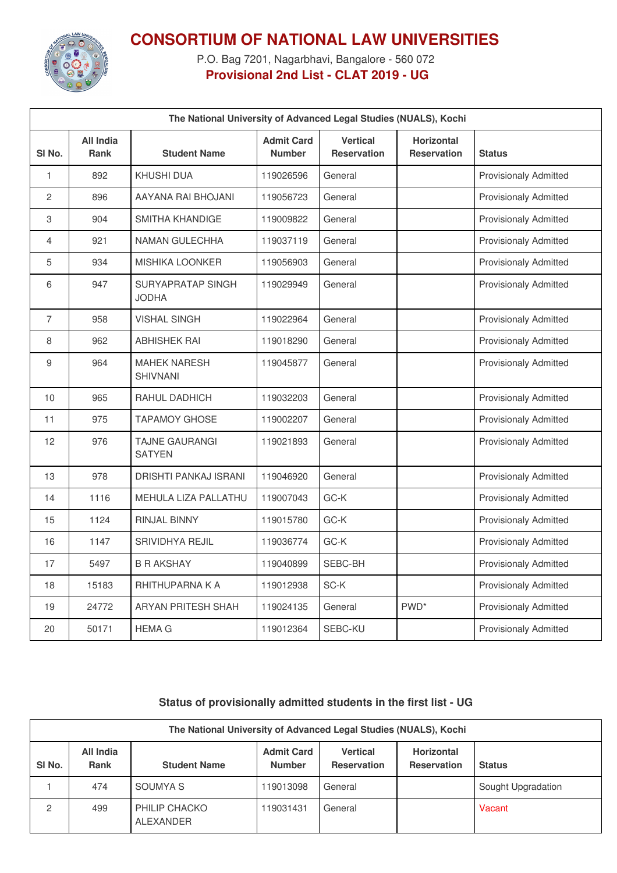

## **CONSORTIUM OF NATIONAL LAW UNIVERSITIES**

P.O. Bag 7201, Nagarbhavi, Bangalore - 560 072 **Provisional 2nd List - CLAT 2019 - UG**

| The National University of Advanced Legal Studies (NUALS), Kochi |                                 |                                        |                                    |                                       |                                  |                              |
|------------------------------------------------------------------|---------------------------------|----------------------------------------|------------------------------------|---------------------------------------|----------------------------------|------------------------------|
| SI No.                                                           | <b>All India</b><br><b>Rank</b> | <b>Student Name</b>                    | <b>Admit Card</b><br><b>Number</b> | <b>Vertical</b><br><b>Reservation</b> | <b>Horizontal</b><br>Reservation | <b>Status</b>                |
| $\mathbf{1}$                                                     | 892                             | <b>KHUSHI DUA</b>                      | 119026596                          | General                               |                                  | <b>Provisionaly Admitted</b> |
| 2                                                                | 896                             | AAYANA RAI BHOJANI                     | 119056723                          | General                               |                                  | <b>Provisionaly Admitted</b> |
| 3                                                                | 904                             | SMITHA KHANDIGE                        | 119009822                          | General                               |                                  | <b>Provisionaly Admitted</b> |
| 4                                                                | 921                             | NAMAN GULECHHA                         | 119037119                          | General                               |                                  | <b>Provisionaly Admitted</b> |
| 5                                                                | 934                             | <b>MISHIKA LOONKER</b>                 | 119056903                          | General                               |                                  | <b>Provisionaly Admitted</b> |
| 6                                                                | 947                             | SURYAPRATAP SINGH<br><b>JODHA</b>      | 119029949                          | General                               |                                  | <b>Provisionaly Admitted</b> |
| $\overline{7}$                                                   | 958                             | <b>VISHAL SINGH</b>                    | 119022964                          | General                               |                                  | <b>Provisionaly Admitted</b> |
| 8                                                                | 962                             | <b>ABHISHEK RAI</b>                    | 119018290                          | General                               |                                  | <b>Provisionaly Admitted</b> |
| 9                                                                | 964                             | <b>MAHEK NARESH</b><br><b>SHIVNANI</b> | 119045877                          | General                               |                                  | <b>Provisionaly Admitted</b> |
| 10                                                               | 965                             | RAHUL DADHICH                          | 119032203                          | General                               |                                  | <b>Provisionaly Admitted</b> |
| 11                                                               | 975                             | <b>TAPAMOY GHOSE</b>                   | 119002207                          | General                               |                                  | <b>Provisionaly Admitted</b> |
| 12                                                               | 976                             | <b>TAJNE GAURANGI</b><br><b>SATYEN</b> | 119021893                          | General                               |                                  | <b>Provisionaly Admitted</b> |
| 13                                                               | 978                             | DRISHTI PANKAJ ISRANI                  | 119046920                          | General                               |                                  | <b>Provisionaly Admitted</b> |
| 14                                                               | 1116                            | MEHULA LIZA PALLATHU                   | 119007043                          | GC-K                                  |                                  | <b>Provisionaly Admitted</b> |
| 15                                                               | 1124                            | <b>RINJAL BINNY</b>                    | 119015780                          | GC-K                                  |                                  | <b>Provisionaly Admitted</b> |
| 16                                                               | 1147                            | <b>SRIVIDHYA REJIL</b>                 | 119036774                          | GC-K                                  |                                  | <b>Provisionaly Admitted</b> |
| 17                                                               | 5497                            | <b>B R AKSHAY</b>                      | 119040899                          | SEBC-BH                               |                                  | <b>Provisionaly Admitted</b> |
| 18                                                               | 15183                           | RHITHUPARNA K A                        | 119012938                          | SC-K                                  |                                  | <b>Provisionaly Admitted</b> |
| 19                                                               | 24772                           | ARYAN PRITESH SHAH                     | 119024135                          | General                               | PWD <sup>*</sup>                 | <b>Provisionaly Admitted</b> |
| 20                                                               | 50171                           | <b>HEMA G</b>                          | 119012364                          | SEBC-KU                               |                                  | <b>Provisionaly Admitted</b> |

## **Status of provisionally admitted students in the first list - UG**

| The National University of Advanced Legal Studies (NUALS), Kochi |                   |                                   |                                    |                                       |                                  |                    |
|------------------------------------------------------------------|-------------------|-----------------------------------|------------------------------------|---------------------------------------|----------------------------------|--------------------|
| SI No.                                                           | All India<br>Rank | <b>Student Name</b>               | <b>Admit Card</b><br><b>Number</b> | <b>Vertical</b><br><b>Reservation</b> | Horizontal<br><b>Reservation</b> | <b>Status</b>      |
|                                                                  | 474               | SOUMYA S                          | 119013098                          | General                               |                                  | Sought Upgradation |
| 2                                                                | 499               | <b>PHILIP CHACKO</b><br>ALEXANDER | 119031431                          | General                               |                                  | Vacant             |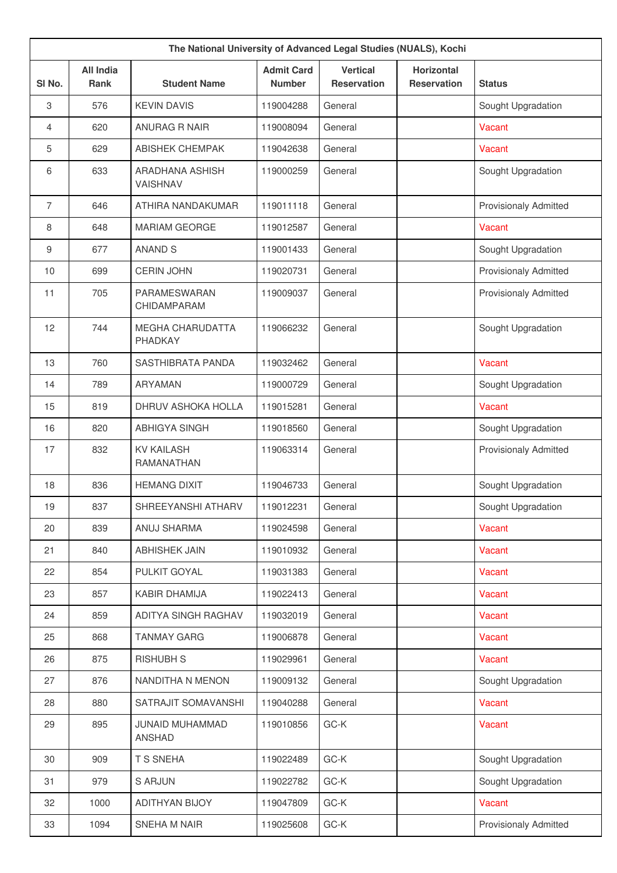| The National University of Advanced Legal Studies (NUALS), Kochi |                                 |                                    |                                    |                                       |                                         |                              |
|------------------------------------------------------------------|---------------------------------|------------------------------------|------------------------------------|---------------------------------------|-----------------------------------------|------------------------------|
| SI No.                                                           | <b>All India</b><br><b>Rank</b> | <b>Student Name</b>                | <b>Admit Card</b><br><b>Number</b> | <b>Vertical</b><br><b>Reservation</b> | <b>Horizontal</b><br><b>Reservation</b> | <b>Status</b>                |
| 3                                                                | 576                             | <b>KEVIN DAVIS</b>                 | 119004288                          | General                               |                                         | Sought Upgradation           |
| 4                                                                | 620                             | <b>ANURAG R NAIR</b>               | 119008094                          | General                               |                                         | Vacant                       |
| 5                                                                | 629                             | <b>ABISHEK CHEMPAK</b>             | 119042638                          | General                               |                                         | Vacant                       |
| 6                                                                | 633                             | ARADHANA ASHISH<br>VAISHNAV        | 119000259                          | General                               |                                         | Sought Upgradation           |
| $\overline{7}$                                                   | 646                             | ATHIRA NANDAKUMAR                  | 119011118                          | General                               |                                         | <b>Provisionaly Admitted</b> |
| 8                                                                | 648                             | <b>MARIAM GEORGE</b>               | 119012587                          | General                               |                                         | Vacant                       |
| 9                                                                | 677                             | <b>ANAND S</b>                     | 119001433                          | General                               |                                         | Sought Upgradation           |
| 10                                                               | 699                             | <b>CERIN JOHN</b>                  | 119020731                          | General                               |                                         | <b>Provisionaly Admitted</b> |
| 11                                                               | 705                             | PARAMESWARAN<br>CHIDAMPARAM        | 119009037                          | General                               |                                         | <b>Provisionaly Admitted</b> |
| 12                                                               | 744                             | <b>MEGHA CHARUDATTA</b><br>PHADKAY | 119066232                          | General                               |                                         | Sought Upgradation           |
| 13                                                               | 760                             | <b>SASTHIBRATA PANDA</b>           | 119032462                          | General                               |                                         | Vacant                       |
| 14                                                               | 789                             | <b>ARYAMAN</b>                     | 119000729                          | General                               |                                         | Sought Upgradation           |
| 15                                                               | 819                             | DHRUV ASHOKA HOLLA                 | 119015281                          | General                               |                                         | Vacant                       |
| 16                                                               | 820                             | <b>ABHIGYA SINGH</b>               | 119018560                          | General                               |                                         | Sought Upgradation           |
| 17                                                               | 832                             | <b>KV KAILASH</b><br>RAMANATHAN    | 119063314                          | General                               |                                         | <b>Provisionaly Admitted</b> |
| 18                                                               | 836                             | <b>HEMANG DIXIT</b>                | 119046733                          | General                               |                                         | Sought Upgradation           |
| 19                                                               | 837                             | SHREEYANSHI ATHARV                 | 119012231                          | General                               |                                         | Sought Upgradation           |
| 20                                                               | 839                             | ANUJ SHARMA                        | 119024598                          | General                               |                                         | Vacant                       |
| 21                                                               | 840                             | <b>ABHISHEK JAIN</b>               | 119010932                          | General                               |                                         | Vacant                       |
| 22                                                               | 854                             | PULKIT GOYAL                       | 119031383                          | General                               |                                         | Vacant                       |
| 23                                                               | 857                             | KABIR DHAMIJA                      | 119022413                          | General                               |                                         | Vacant                       |
| 24                                                               | 859                             | ADITYA SINGH RAGHAV                | 119032019                          | General                               |                                         | Vacant                       |
| 25                                                               | 868                             | <b>TANMAY GARG</b>                 | 119006878                          | General                               |                                         | Vacant                       |
| 26                                                               | 875                             | <b>RISHUBH S</b>                   | 119029961                          | General                               |                                         | Vacant                       |
| 27                                                               | 876                             | NANDITHA N MENON                   | 119009132                          | General                               |                                         | Sought Upgradation           |
| 28                                                               | 880                             | SATRAJIT SOMAVANSHI                | 119040288                          | General                               |                                         | Vacant                       |
| 29                                                               | 895                             | JUNAID MUHAMMAD<br><b>ANSHAD</b>   | 119010856                          | GC-K                                  |                                         | Vacant                       |
| 30                                                               | 909                             | T S SNEHA                          | 119022489                          | $GC-K$                                |                                         | Sought Upgradation           |
| 31                                                               | 979                             | <b>S ARJUN</b>                     | 119022782                          | GC-K                                  |                                         | Sought Upgradation           |
| 32                                                               | 1000                            | <b>ADITHYAN BIJOY</b>              | 119047809                          | $GC-K$                                |                                         | Vacant                       |
| 33                                                               | 1094                            | SNEHA M NAIR                       | 119025608                          | GC-K                                  |                                         | Provisionaly Admitted        |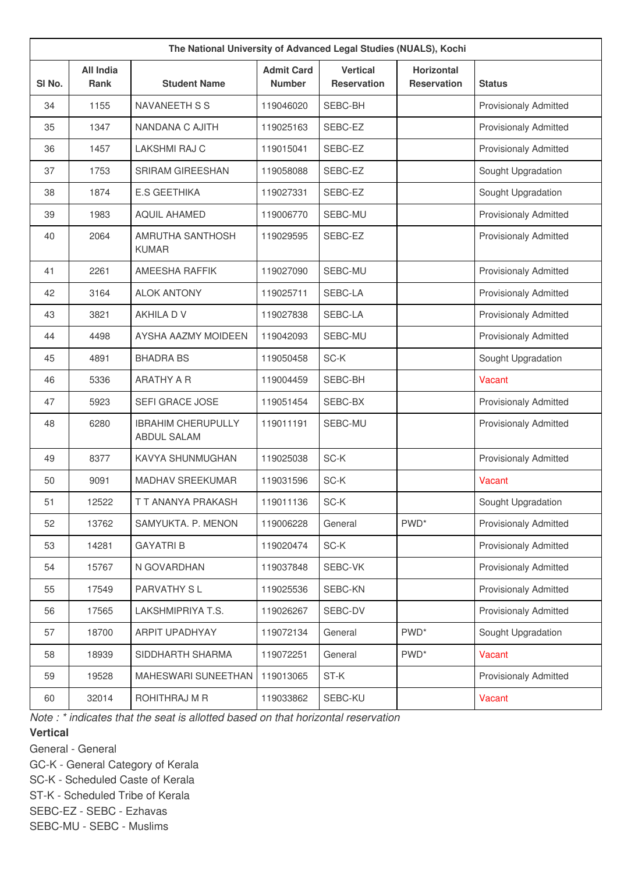| The National University of Advanced Legal Studies (NUALS), Kochi |                                 |                                          |                                    |                                       |                                         |                              |
|------------------------------------------------------------------|---------------------------------|------------------------------------------|------------------------------------|---------------------------------------|-----------------------------------------|------------------------------|
| SI No.                                                           | <b>All India</b><br><b>Rank</b> | <b>Student Name</b>                      | <b>Admit Card</b><br><b>Number</b> | <b>Vertical</b><br><b>Reservation</b> | <b>Horizontal</b><br><b>Reservation</b> | <b>Status</b>                |
| 34                                                               | 1155                            | NAVANEETH S S                            | 119046020                          | SEBC-BH                               |                                         | <b>Provisionaly Admitted</b> |
| 35                                                               | 1347                            | NANDANA C AJITH                          | 119025163                          | SEBC-EZ                               |                                         | <b>Provisionaly Admitted</b> |
| 36                                                               | 1457                            | <b>LAKSHMI RAJ C</b>                     | 119015041                          | SEBC-EZ                               |                                         | <b>Provisionaly Admitted</b> |
| 37                                                               | 1753                            | <b>SRIRAM GIREESHAN</b>                  | 119058088                          | SEBC-EZ                               |                                         | Sought Upgradation           |
| 38                                                               | 1874                            | <b>E.S GEETHIKA</b>                      | 119027331                          | SEBC-EZ                               |                                         | Sought Upgradation           |
| 39                                                               | 1983                            | <b>AQUIL AHAMED</b>                      | 119006770                          | SEBC-MU                               |                                         | <b>Provisionaly Admitted</b> |
| 40                                                               | 2064                            | AMRUTHA SANTHOSH<br><b>KUMAR</b>         | 119029595                          | SEBC-EZ                               |                                         | <b>Provisionaly Admitted</b> |
| 41                                                               | 2261                            | AMEESHA RAFFIK                           | 119027090                          | SEBC-MU                               |                                         | <b>Provisionaly Admitted</b> |
| 42                                                               | 3164                            | <b>ALOK ANTONY</b>                       | 119025711                          | SEBC-LA                               |                                         | Provisionaly Admitted        |
| 43                                                               | 3821                            | AKHILA D V                               | 119027838                          | SEBC-LA                               |                                         | <b>Provisionaly Admitted</b> |
| 44                                                               | 4498                            | AYSHA AAZMY MOIDEEN                      | 119042093                          | SEBC-MU                               |                                         | Provisionaly Admitted        |
| 45                                                               | 4891                            | <b>BHADRA BS</b>                         | 119050458                          | SC-K                                  |                                         | Sought Upgradation           |
| 46                                                               | 5336                            | <b>ARATHY A R</b>                        | 119004459                          | SEBC-BH                               |                                         | Vacant                       |
| 47                                                               | 5923                            | SEFI GRACE JOSE                          | 119051454                          | SEBC-BX                               |                                         | <b>Provisionaly Admitted</b> |
| 48                                                               | 6280                            | <b>IBRAHIM CHERUPULLY</b><br>ABDUL SALAM | 119011191                          | SEBC-MU                               |                                         | <b>Provisionaly Admitted</b> |
| 49                                                               | 8377                            | KAVYA SHUNMUGHAN                         | 119025038                          | SC-K                                  |                                         | <b>Provisionaly Admitted</b> |
| 50                                                               | 9091                            | MADHAV SREEKUMAR                         | 119031596                          | SC-K                                  |                                         | Vacant                       |
| 51                                                               | 12522                           | T T ANANYA PRAKASH                       | 119011136                          | SC-K                                  |                                         | Sought Upgradation           |
| 52                                                               | 13762                           | SAMYUKTA. P. MENON                       | 119006228                          | General                               | PWD <sup>*</sup>                        | <b>Provisionaly Admitted</b> |
| 53                                                               | 14281                           | <b>GAYATRI B</b>                         | 119020474                          | SC-K                                  |                                         | Provisionaly Admitted        |
| 54                                                               | 15767                           | N GOVARDHAN                              | 119037848                          | SEBC-VK                               |                                         | Provisionaly Admitted        |
| 55                                                               | 17549                           | PARVATHY SL                              | 119025536                          | SEBC-KN                               |                                         | Provisionaly Admitted        |
| 56                                                               | 17565                           | LAKSHMIPRIYA T.S.                        | 119026267                          | SEBC-DV                               |                                         | Provisionaly Admitted        |
| 57                                                               | 18700                           | ARPIT UPADHYAY                           | 119072134                          | General                               | PWD <sup>*</sup>                        | Sought Upgradation           |
| 58                                                               | 18939                           | SIDDHARTH SHARMA                         | 119072251                          | General                               | PWD <sup>*</sup>                        | Vacant                       |
| 59                                                               | 19528                           | MAHESWARI SUNEETHAN                      | 119013065                          | ST-K                                  |                                         | Provisionaly Admitted        |
| 60                                                               | 32014                           | ROHITHRAJ M R                            | 119033862                          | SEBC-KU                               |                                         | Vacant                       |

*Note : \* indicates that the seat is allotted based on that horizontal reservation*

## **Vertical**

General - General

GC-K - General Category of Kerala

SC-K - Scheduled Caste of Kerala

ST-K - Scheduled Tribe of Kerala

SEBC-EZ - SEBC - Ezhavas

SEBC-MU - SEBC - Muslims